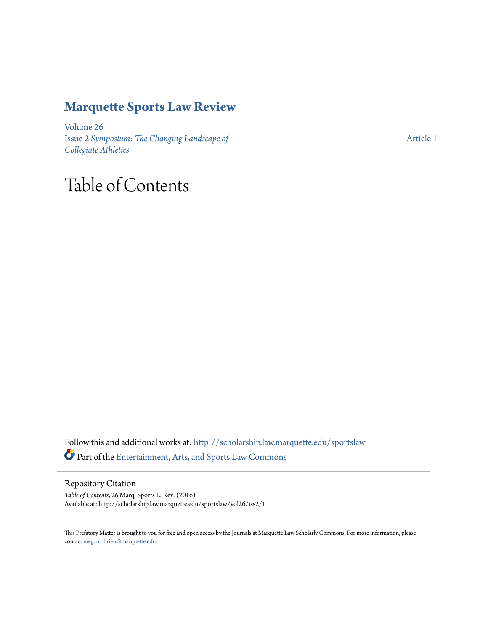## **[Marquette Sports Law Review](http://scholarship.law.marquette.edu/sportslaw?utm_source=scholarship.law.marquette.edu%2Fsportslaw%2Fvol26%2Fiss2%2F1&utm_medium=PDF&utm_campaign=PDFCoverPages)**

[Volume 26](http://scholarship.law.marquette.edu/sportslaw/vol26?utm_source=scholarship.law.marquette.edu%2Fsportslaw%2Fvol26%2Fiss2%2F1&utm_medium=PDF&utm_campaign=PDFCoverPages) Issue 2 *[Symposium: The Changing Landscape of](http://scholarship.law.marquette.edu/sportslaw/vol26/iss2?utm_source=scholarship.law.marquette.edu%2Fsportslaw%2Fvol26%2Fiss2%2F1&utm_medium=PDF&utm_campaign=PDFCoverPages) [Collegiate Athletics](http://scholarship.law.marquette.edu/sportslaw/vol26/iss2?utm_source=scholarship.law.marquette.edu%2Fsportslaw%2Fvol26%2Fiss2%2F1&utm_medium=PDF&utm_campaign=PDFCoverPages)*

[Article 1](http://scholarship.law.marquette.edu/sportslaw/vol26/iss2/1?utm_source=scholarship.law.marquette.edu%2Fsportslaw%2Fvol26%2Fiss2%2F1&utm_medium=PDF&utm_campaign=PDFCoverPages)

# Table of Contents

Follow this and additional works at: [http://scholarship.law.marquette.edu/sportslaw](http://scholarship.law.marquette.edu/sportslaw?utm_source=scholarship.law.marquette.edu%2Fsportslaw%2Fvol26%2Fiss2%2F1&utm_medium=PDF&utm_campaign=PDFCoverPages) Part of the [Entertainment, Arts, and Sports Law Commons](http://network.bepress.com/hgg/discipline/893?utm_source=scholarship.law.marquette.edu%2Fsportslaw%2Fvol26%2Fiss2%2F1&utm_medium=PDF&utm_campaign=PDFCoverPages)

Repository Citation

*Table of Contents*, 26 Marq. Sports L. Rev. (2016) Available at: http://scholarship.law.marquette.edu/sportslaw/vol26/iss2/1

This Prefatory Matter is brought to you for free and open access by the Journals at Marquette Law Scholarly Commons. For more information, please contact [megan.obrien@marquette.edu.](mailto:megan.obrien@marquette.edu)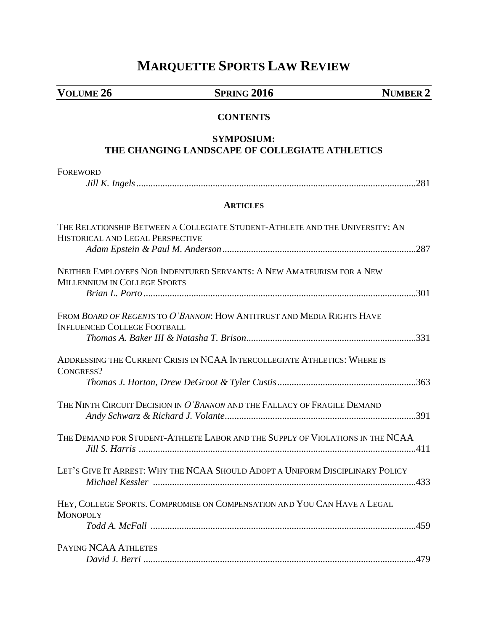## **MARQUETTE SPORTS LAW REVIEW**

**VOLUME 26 SPRING 2016 NUMBER 2**

### **CONTENTS**

### **SYMPOSIUM: THE CHANGING LANDSCAPE OF COLLEGIATE ATHLETICS**

| <b>FOREWORD</b>                                                                                                  |
|------------------------------------------------------------------------------------------------------------------|
|                                                                                                                  |
| <b>ARTICLES</b>                                                                                                  |
| THE RELATIONSHIP BETWEEN A COLLEGIATE STUDENT-ATHLETE AND THE UNIVERSITY: AN<br>HISTORICAL AND LEGAL PERSPECTIVE |
| NEITHER EMPLOYEES NOR INDENTURED SERVANTS: A NEW AMATEURISM FOR A NEW<br><b>MILLENNIUM IN COLLEGE SPORTS</b>     |
| FROM BOARD OF REGENTS TO O'BANNON: HOW ANTITRUST AND MEDIA RIGHTS HAVE<br><b>INFLUENCED COLLEGE FOOTBALL</b>     |
| ADDRESSING THE CURRENT CRISIS IN NCAA INTERCOLLEGIATE ATHLETICS: WHERE IS<br>CONGRESS?                           |
| THE NINTH CIRCUIT DECISION IN O'BANNON AND THE FALLACY OF FRAGILE DEMAND                                         |
| THE DEMAND FOR STUDENT-ATHLETE LABOR AND THE SUPPLY OF VIOLATIONS IN THE NCAA                                    |
| LET'S GIVE IT ARREST: WHY THE NCAA SHOULD ADOPT A UNIFORM DISCIPLINARY POLICY                                    |
| HEY, COLLEGE SPORTS. COMPROMISE ON COMPENSATION AND YOU CAN HAVE A LEGAL<br><b>MONOPOLY</b>                      |
| PAYING NCAA ATHLETES                                                                                             |